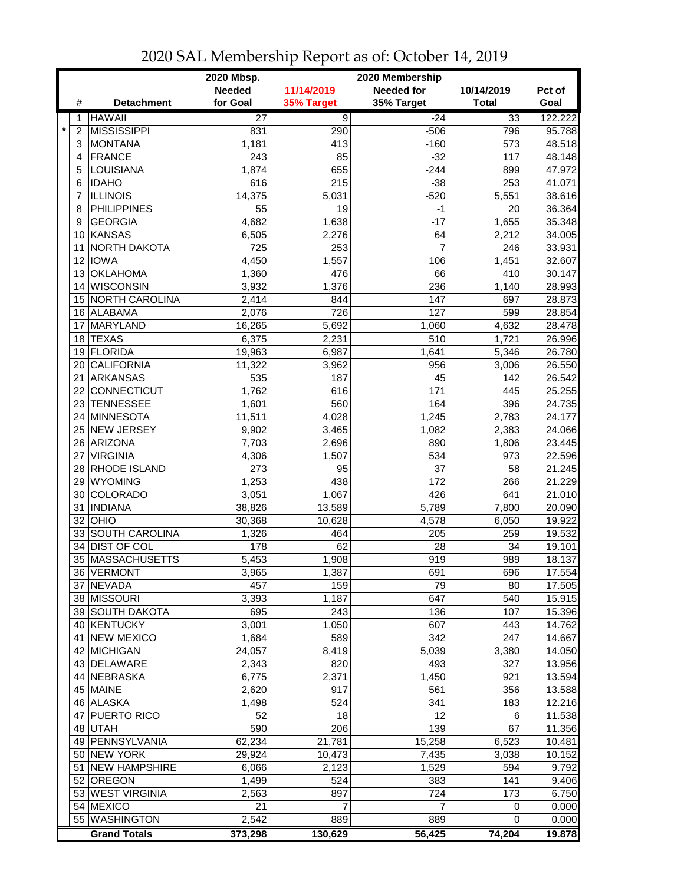|                           |                            | 2020 Mbsp.<br>2020 Membership |                |                   |              |                  |
|---------------------------|----------------------------|-------------------------------|----------------|-------------------|--------------|------------------|
|                           |                            | <b>Needed</b>                 | 11/14/2019     | <b>Needed for</b> | 10/14/2019   | Pct of           |
| #                         | <b>Detachment</b>          | for Goal                      | 35% Target     | 35% Target        | <b>Total</b> | Goal             |
| 1                         | <b>HAWAII</b>              | 27                            | $\overline{9}$ | $-24$             | 33           | 122.222          |
| $\star$<br>$\overline{2}$ | <b>MISSISSIPPI</b>         | 831                           | 290            | $-506$            | 796          | 95.788           |
| 3                         | <b>MONTANA</b>             | 1,181                         | 413            | $-160$            | 573          | 48.518           |
| 4                         | <b>FRANCE</b>              | 243                           | 85             | $-32$             | 117          | 48.148           |
| 5                         | <b>LOUISIANA</b>           | 1,874                         | 655            | $-244$            | 899          | 47.972           |
| 6                         | <b>IDAHO</b>               | 616                           | 215            | $-38$             | 253          | 41.071           |
| 7                         | <b>ILLINOIS</b>            | 14,375                        | 5,031          | $-520$            | 5,551        | 38.616           |
| 8                         | <b>PHILIPPINES</b>         | 55                            | 19             | $-1$              | 20           | 36.364           |
| 9                         | <b>GEORGIA</b>             | 4,682                         | 1,638          | $-17$             | 1,655        | 35.348           |
|                           | 10 KANSAS                  | 6,505                         | 2,276          | 64                | 2,212        | 34.005           |
| 11                        | NORTH DAKOTA               | 725                           | 253            | 7                 | 246          | 33.931           |
| 12                        | <b>IOWA</b>                | 4,450                         | 1,557          | 106               | 1,451        | 32.607           |
| 13                        | <b>OKLAHOMA</b>            | 1,360                         | 476            | 66                | 410          | 30.147           |
| 14                        | <b>WISCONSIN</b>           | 3,932                         | 1,376          | 236               | 1,140        | 28.993           |
| 15                        | NORTH CAROLINA             | 2,414                         | 844            | 147               | 697          | 28.873           |
| 16                        | ALABAMA                    | 2,076                         | 726            | 127               | 599          | 28.854           |
| 17                        | MARYLAND                   | 16,265                        | 5,692          | 1,060             | 4,632        | 28.478           |
| 18                        | <b>TEXAS</b>               | 6,375                         | 2,231          | 510               | 1,721        | 26.996           |
| 19                        | <b>FLORIDA</b>             | 19,963                        | 6,987          | 1,641             | 5,346        | 26.780           |
| 20                        | <b>CALIFORNIA</b>          | 11,322                        | 3,962          | 956               | 3,006        | 26.550           |
| 21                        | <b>ARKANSAS</b>            | 535                           | 187            | 45                | 142          | 26.542           |
| 22                        | CONNECTICUT                | 1,762                         | 616            | 171               | 445          | 25.255           |
| 23                        | <b>TENNESSEE</b>           | 1,601                         | 560            | 164               | 396          | 24.735           |
|                           | <b>MINNESOTA</b>           | 11,511                        | 4,028          |                   | 2,783        | 24.177           |
| 24                        | <b>NEW JERSEY</b>          |                               |                | 1,245             |              |                  |
| 25<br>26                  |                            | 9,902                         | 3,465          | 1,082<br>890      | 2,383        | 24.066           |
|                           | ARIZONA<br><b>VIRGINIA</b> | 7,703                         | 2,696          | 534               | 1,806        | 23.445<br>22.596 |
| 27                        |                            | 4,306                         | 1,507          | 37                | 973          |                  |
| 28                        | <b>RHODE ISLAND</b>        | 273                           | 95             |                   | 58           | 21.245           |
| 29                        | <b>WYOMING</b>             | 1,253                         | 438            | 172               | 266          | 21.229           |
| 30                        | <b>COLORADO</b>            | 3,051                         | 1,067          | 426               | 641          | 21.010           |
| 31                        | <b>INDIANA</b>             | 38,826                        | 13,589         | 5,789             | 7,800        | 20.090           |
| 32                        | OHIO                       | 30,368                        | 10,628         | 4,578             | 6,050        | 19.922           |
| 33                        | <b>SOUTH CAROLINA</b>      | 1,326                         | 464            | 205               | 259          | 19.532           |
| 34                        | <b>DIST OF COL</b>         | 178                           | 62             | 28                | 34           | 19.101           |
| 35                        | MASSACHUSETTS              | 5,453                         | 1,908          | 919               | 989          | 18.137           |
|                           | 36 VERMONT                 | 3,965                         | 1,387          | 691               | 696          | 17.554           |
| 37                        | <b>NEVADA</b>              | 457                           | 159            | 79                | 80           | 17.505           |
| 38                        | <b>MISSOURI</b>            | 3,393                         | 1,187          | 647               | 540          | 15.915           |
|                           | 39 SOUTH DAKOTA            | 695                           | 243            | 136               | 107          | 15.396           |
| 40                        | KENTUCKY                   | 3,001                         | 1,050          | 607               | 443          | 14.762           |
| 41                        | <b>NEW MEXICO</b>          | 1,684                         | 589            | 342               | 247          | 14.667           |
| 42                        | <b>MICHIGAN</b>            | 24,057                        | 8,419          | 5,039             | 3,380        | 14.050           |
|                           | 43 DELAWARE                | 2,343                         | 820            | 493               | 327          | 13.956           |
|                           | 44 NEBRASKA                | 6,775                         | 2,371          | 1,450             | 921          | 13.594           |
|                           | 45 MAINE                   | 2,620                         | 917            | 561               | 356          | 13.588           |
|                           | 46 ALASKA                  | 1,498                         | 524            | 341               | 183          | 12.216           |
|                           | 47 PUERTO RICO             | 52                            | 18             | 12                | 6            | 11.538           |
|                           | 48 UTAH                    | 590                           | 206            | 139               | 67           | 11.356           |
|                           | 49   PENNSYLVANIA          | 62,234                        | 21,781         | 15,258            | 6,523        | 10.481           |
|                           | 50 NEW YORK                | 29,924                        | 10,473         | 7,435             | 3,038        | 10.152           |
| 51                        | <b>NEW HAMPSHIRE</b>       | 6,066                         | 2,123          | 1,529             | 594          | 9.792            |
|                           | 52 OREGON                  | 1,499                         | 524            | 383               | 141          | 9.406            |
|                           | 53 WEST VIRGINIA           | 2,563                         | 897            | 724               | 173          | 6.750            |
| 54                        | <b>MEXICO</b>              | 21                            | 7              | 7                 | 0            | 0.000            |
|                           | 55 WASHINGTON              | 2,542                         | 889            | 889               | 0            | 0.000            |
|                           | <b>Grand Totals</b>        | 373,298                       | 130,629        | 56,425            | 74,204       | 19.878           |

2020 SAL Membership Report as of: October 14, 2019